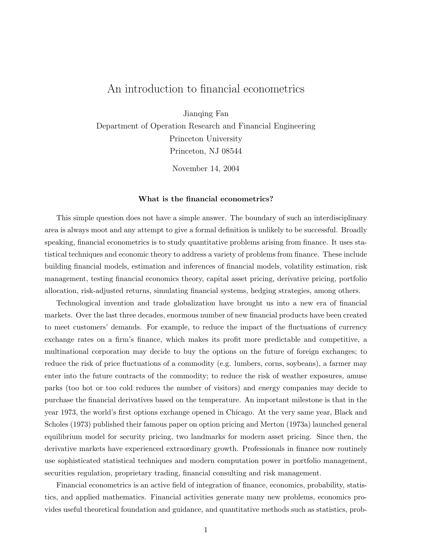# An introduction to financial econometrics

Jianqing Fan

Department of Operation Research and Financial Engineering Princeton University Princeton, NJ 08544

November 14, 2004

# What is the financial econometrics?

This simple question does not have a simple answer. The boundary of such an interdisciplinary area is always moot and any attempt to give a formal definition is unlikely to be successful. Broadly speaking, financial econometrics is to study quantitative problems arising from finance. It uses statistical techniques and economic theory to address a variety of problems from finance. These include building financial models, estimation and inferences of financial models, volatility estimation, risk management, testing financial economics theory, capital asset pricing, derivative pricing, portfolio allocation, risk-adjusted returns, simulating financial systems, hedging strategies, among others.

Technological invention and trade globalization have brought us into a new era of financial markets. Over the last three decades, enormous number of new financial products have been created to meet customers' demands. For example, to reduce the impact of the fluctuations of currency exchange rates on a firm's finance, which makes its profit more predictable and competitive, a multinational corporation may decide to buy the options on the future of foreign exchanges; to reduce the risk of price fluctuations of a commodity (e.g. lumbers, corns, soybeans), a farmer may enter into the future contracts of the commodity; to reduce the risk of weather exposures, amuse parks (too hot or too cold reduces the number of visitors) and energy companies may decide to purchase the financial derivatives based on the temperature. An important milestone is that in the year 1973, the world's first options exchange opened in Chicago. At the very same year, Black and Scholes (1973) published their famous paper on option pricing and Merton (1973a) launched general equilibrium model for security pricing, two landmarks for modern asset pricing. Since then, the derivative markets have experienced extraordinary growth. Professionals in finance now routinely use sophisticated statistical techniques and modern computation power in portfolio management, securities regulation, proprietary trading, financial consulting and risk management.

Financial econometrics is an active field of integration of finance, economics, probability, statistics, and applied mathematics. Financial activities generate many new problems, economics provides useful theoretical foundation and guidance, and quantitative methods such as statistics, prob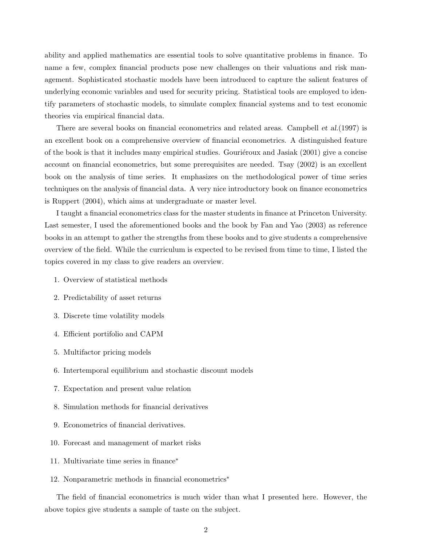ability and applied mathematics are essential tools to solve quantitative problems in finance. To name a few, complex financial products pose new challenges on their valuations and risk management. Sophisticated stochastic models have been introduced to capture the salient features of underlying economic variables and used for security pricing. Statistical tools are employed to identify parameters of stochastic models, to simulate complex financial systems and to test economic theories via empirical financial data.

There are several books on financial econometrics and related areas. Campbell *et al.*(1997) is an excellent book on a comprehensive overview of financial econometrics. A distinguished feature of the book is that it includes many empirical studies. Gourieroux and Jasiak  $(2001)$  give a concise account on financial econometrics, but some prerequisites are needed. Tsay (2002) is an excellent book on the analysis of time series. It emphasizes on the methodological power of time series techniques on the analysis of financial data. A very nice introductory book on finance econometrics is Ruppert (2004), which aims at undergraduate or master level.

I taught a financial econometrics class for the master students in finance at Princeton University. Last semester, I used the aforementioned books and the book by Fan and Yao (2003) as reference books in an attempt to gather the strengths from these books and to give students a comprehensive overview of the field. While the curriculum is expected to be revised from time to time, I listed the topics covered in my class to give readers an overview.

- 1. Overview of statistical methods
- 2. Predictability of asset returns
- 3. Discrete time volatility models
- 4. Efficient portifolio and CAPM
- 5. Multifactor pricing models
- 6. Intertemporal equilibrium and stochastic discount models
- 7. Expectation and present value relation
- 8. Simulation methods for financial derivatives
- 9. Econometrics of financial derivatives.
- 10. Forecast and management of market risks
- 11. Multivariate time series in finance<sup>∗</sup>
- 12. Nonparametric methods in financial econometrics<sup>∗</sup>

The field of financial econometrics is much wider than what I presented here. However, the above topics give students a sample of taste on the subject.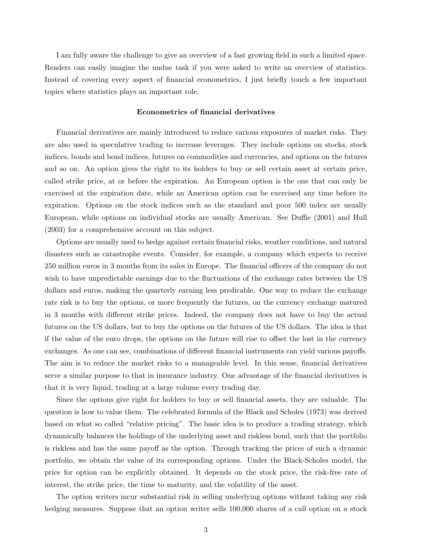I am fully aware the challenge to give an overview of a fast growing field in such a limited space. Readers can easily imagine the undue task if you were asked to write an overview of statistics. Instead of covering every aspect of financial econometrics, I just briefly touch a few important topics where statistics plays an important role.

#### Econometrics of financial derivatives

Financial derivatives are mainly introduced to reduce various exposures of market risks. They are also used in speculative trading to increase leverages. They include options on stocks, stock indices, bonds and bond indices, futures on commodities and currencies, and options on the futures and so on. An option gives the right to its holders to buy or sell certain asset at certain price, called strike price, at or before the expiration. An European option is the one that can only be exercised at the expiration date, while an American option can be exercised any time before its expiration. Options on the stock indices such as the standard and poor 500 index are usually European, while options on individual stocks are usually American. See Duffie (2001) and Hull (2003) for a comprehensive account on this subject.

Options are usually used to hedge against certain financial risks, weather conditions, and natural disasters such as catastrophe events. Consider, for example, a company which expects to receive 250 million euros in 3 months from its sales in Europe. The financial officers of the company do not wish to have unpredictable earnings due to the fluctuations of the exchange rates between the US dollars and euros, making the quarterly earning less predicable. One way to reduce the exchange rate risk is to buy the options, or more frequently the futures, on the currency exchange matured in 3 months with different strike prices. Indeed, the company does not have to buy the actual futures on the US dollars, but to buy the options on the futures of the US dollars. The idea is that if the value of the euro drops, the options on the future will rise to offset the lost in the currency exchanges. As one can see, combinations of different financial instruments can yield various payoffs. The aim is to reduce the market risks to a manageable level. In this sense, financial derivatives serve a similar purpose to that in insurance industry. One advantage of the financial derivatives is that it is very liquid, trading at a large volume every trading day.

Since the options give right for holders to buy or sell financial assets, they are valuable. The question is how to value them. The celebrated formula of the Black and Scholes (1973) was derived based on what so called "relative pricing". The basic idea is to produce a trading strategy, which dynamically balances the holdings of the underlying asset and riskless bond, such that the portfolio is riskless and has the same payoff as the option. Through tracking the prices of such a dynamic portfolio, we obtain the value of its corresponding options. Under the Black-Scholes model, the price for option can be explicitly obtained. It depends on the stock price, the risk-free rate of interest, the strike price, the time to maturity, and the volatility of the asset.

The option writers incur substantial risk in selling underlying options without taking any risk hedging measures. Suppose that an option writer sells 100,000 shares of a call option on a stock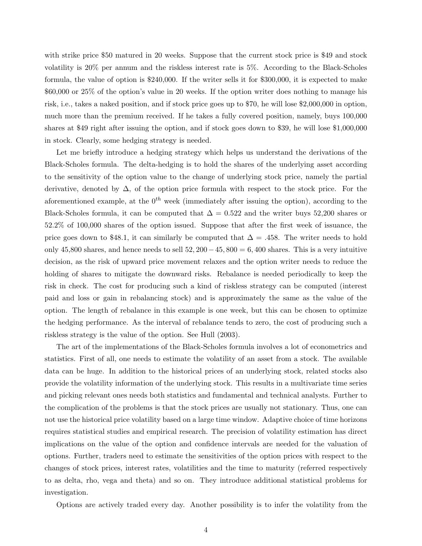with strike price \$50 matured in 20 weeks. Suppose that the current stock price is \$49 and stock volatility is 20% per annum and the riskless interest rate is 5%. According to the Black-Scholes formula, the value of option is \$240,000. If the writer sells it for \$300,000, it is expected to make \$60,000 or 25% of the option's value in 20 weeks. If the option writer does nothing to manage his risk, i.e., takes a naked position, and if stock price goes up to \$70, he will lose \$2,000,000 in option, much more than the premium received. If he takes a fully covered position, namely, buys 100,000 shares at \$49 right after issuing the option, and if stock goes down to \$39, he will lose \$1,000,000 in stock. Clearly, some hedging strategy is needed.

Let me briefly introduce a hedging strategy which helps us understand the derivations of the Black-Scholes formula. The delta-hedging is to hold the shares of the underlying asset according to the sensitivity of the option value to the change of underlying stock price, namely the partial derivative, denoted by  $\Delta$ , of the option price formula with respect to the stock price. For the aforementioned example, at the  $0^{th}$  week (immediately after issuing the option), according to the Black-Scholes formula, it can be computed that  $\Delta = 0.522$  and the writer buys 52,200 shares or 52.2% of 100,000 shares of the option issued. Suppose that after the first week of issuance, the price goes down to \$48.1, it can similarly be computed that  $\Delta = .458$ . The writer needs to hold only 45,800 shares, and hence needs to sell  $52,200-45,800 = 6,400$  shares. This is a very intuitive decision, as the risk of upward price movement relaxes and the option writer needs to reduce the holding of shares to mitigate the downward risks. Rebalance is needed periodically to keep the risk in check. The cost for producing such a kind of riskless strategy can be computed (interest paid and loss or gain in rebalancing stock) and is approximately the same as the value of the option. The length of rebalance in this example is one week, but this can be chosen to optimize the hedging performance. As the interval of rebalance tends to zero, the cost of producing such a riskless strategy is the value of the option. See Hull (2003).

The art of the implementations of the Black-Scholes formula involves a lot of econometrics and statistics. First of all, one needs to estimate the volatility of an asset from a stock. The available data can be huge. In addition to the historical prices of an underlying stock, related stocks also provide the volatility information of the underlying stock. This results in a multivariate time series and picking relevant ones needs both statistics and fundamental and technical analysts. Further to the complication of the problems is that the stock prices are usually not stationary. Thus, one can not use the historical price volatility based on a large time window. Adaptive choice of time horizons requires statistical studies and empirical research. The precision of volatility estimation has direct implications on the value of the option and confidence intervals are needed for the valuation of options. Further, traders need to estimate the sensitivities of the option prices with respect to the changes of stock prices, interest rates, volatilities and the time to maturity (referred respectively to as delta, rho, vega and theta) and so on. They introduce additional statistical problems for investigation.

Options are actively traded every day. Another possibility is to infer the volatility from the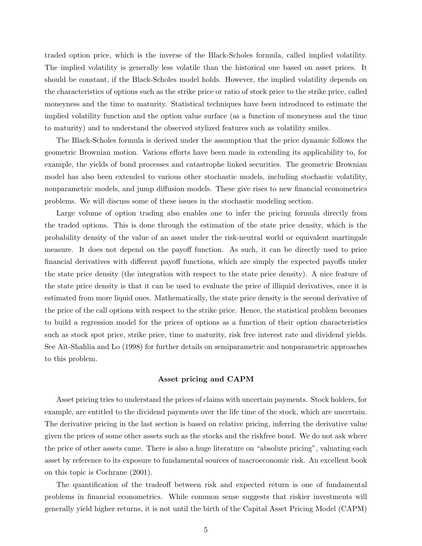traded option price, which is the inverse of the Black-Scholes formula, called implied volatility. The implied volatility is generally less volatile than the historical one based on asset prices. It should be constant, if the Black-Scholes model holds. However, the implied volatility depends on the characteristics of options such as the strike price or ratio of stock price to the strike price, called moneyness and the time to maturity. Statistical techniques have been introduced to estimate the implied volatility function and the option value surface (as a function of moneyness and the time to maturity) and to understand the observed stylized features such as volatility smiles.

The Black-Scholes formula is derived under the assumption that the price dynamic follows the geometric Brownian motion. Various efforts have been made in extending its applicability to, for example, the yields of bond processes and catastrophe linked securities. The geometric Brownian model has also been extended to various other stochastic models, including stochastic volatility, nonparametric models, and jump diffusion models. These give rises to new financial econometrics problems. We will discuss some of these issues in the stochastic modeling section.

Large volume of option trading also enables one to infer the pricing formula directly from the traded options. This is done through the estimation of the state price density, which is the probability density of the value of an asset under the risk-neutral world or equivalent martingale measure. It does not depend on the payoff function. As such, it can be directly used to price financial derivatives with different payoff functions, which are simply the expected payoffs under the state price density (the integration with respect to the state price density). A nice feature of the state price density is that it can be used to evaluate the price of illiquid derivatives, once it is estimated from more liquid ones. Mathematically, the state price density is the second derivative of the price of the call options with respect to the strike price. Hence, the statistical problem becomes to build a regression model for the prices of options as a function of their option characteristics such as stock spot price, strike price, time to maturity, risk free interest rate and dividend yields. See Aït-Shahlia and Lo (1998) for further details on semiparametric and nonparametric approaches to this problem.

# Asset pricing and CAPM

Asset pricing tries to understand the prices of claims with uncertain payments. Stock holders, for example, are entitled to the dividend payments over the life time of the stock, which are uncertain. The derivative pricing in the last section is based on relative pricing, inferring the derivative value given the prices of some other assets such as the stocks and the riskfree bond. We do not ask where the price of other assets came. There is also a huge literature on "absolute pricing", valuating each asset by reference to its exposure to fundamental sources of macroeconomic risk. An excellent book on this topic is Cochrane (2001).

The quantification of the tradeoff between risk and expected return is one of fundamental problems in financial econometrics. While common sense suggests that riskier investments will generally yield higher returns, it is not until the birth of the Capital Asset Pricing Model (CAPM)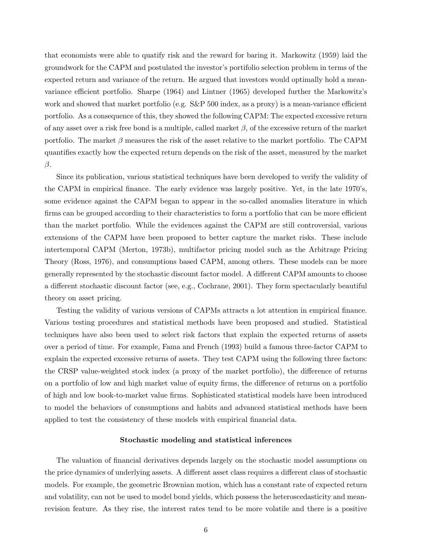that economists were able to quatify risk and the reward for baring it. Markowitz (1959) laid the groundwork for the CAPM and postulated the investor's portifolio selection problem in terms of the expected return and variance of the return. He argued that investors would optimally hold a meanvariance efficient portfolio. Sharpe (1964) and Lintner (1965) developed further the Markowitz's work and showed that market portfolio (e.g. S&P 500 index, as a proxy) is a mean-variance efficient portfolio. As a consequence of this, they showed the following CAPM: The expected excessive return of any asset over a risk free bond is a multiple, called market  $\beta$ , of the excessive return of the market portfolio. The market  $\beta$  measures the risk of the asset relative to the market portfolio. The CAPM quantifies exactly how the expected return depends on the risk of the asset, measured by the market β.

Since its publication, various statistical techniques have been developed to verify the validity of the CAPM in empirical finance. The early evidence was largely positive. Yet, in the late 1970's, some evidence against the CAPM began to appear in the so-called anomalies literature in which firms can be grouped according to their characteristics to form a portfolio that can be more efficient than the market portfolio. While the evidences against the CAPM are still controversial, various extensions of the CAPM have been proposed to better capture the market risks. These include intertemporal CAPM (Merton, 1973b), multifactor pricing model such as the Arbitrage Pricing Theory (Ross, 1976), and consumptions based CAPM, among others. These models can be more generally represented by the stochastic discount factor model. A different CAPM amounts to choose a different stochastic discount factor (see, e.g., Cochrane, 2001). They form spectacularly beautiful theory on asset pricing.

Testing the validity of various versions of CAPMs attracts a lot attention in empirical finance. Various testing procedures and statistical methods have been proposed and studied. Statistical techniques have also been used to select risk factors that explain the expected returns of assets over a period of time. For example, Fama and French (1993) build a famous three-factor CAPM to explain the expected excessive returns of assets. They test CAPM using the following three factors: the CRSP value-weighted stock index (a proxy of the market portfolio), the difference of returns on a portfolio of low and high market value of equity firms, the difference of returns on a portfolio of high and low book-to-market value firms. Sophisticated statistical models have been introduced to model the behaviors of consumptions and habits and advanced statistical methods have been applied to test the consistency of these models with empirical financial data.

#### Stochastic modeling and statistical inferences

The valuation of financial derivatives depends largely on the stochastic model assumptions on the price dynamics of underlying assets. A different asset class requires a different class of stochastic models. For example, the geometric Brownian motion, which has a constant rate of expected return and volatility, can not be used to model bond yields, which possess the heteroscedasticity and meanrevision feature. As they rise, the interest rates tend to be more volatile and there is a positive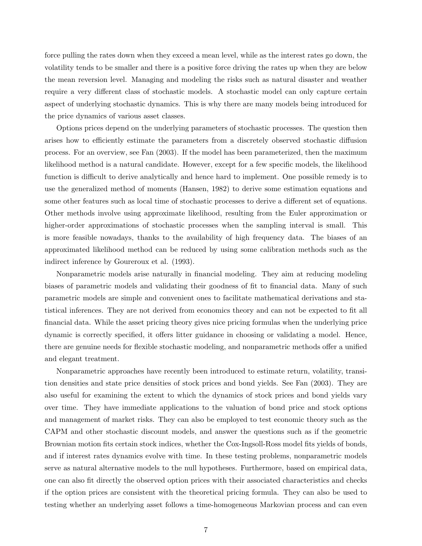force pulling the rates down when they exceed a mean level, while as the interest rates go down, the volatility tends to be smaller and there is a positive force driving the rates up when they are below the mean reversion level. Managing and modeling the risks such as natural disaster and weather require a very different class of stochastic models. A stochastic model can only capture certain aspect of underlying stochastic dynamics. This is why there are many models being introduced for the price dynamics of various asset classes.

Options prices depend on the underlying parameters of stochastic processes. The question then arises how to efficiently estimate the parameters from a discretely observed stochastic diffusion process. For an overview, see Fan (2003). If the model has been parameterized, then the maximum likelihood method is a natural candidate. However, except for a few specific models, the likelihood function is difficult to derive analytically and hence hard to implement. One possible remedy is to use the generalized method of moments (Hansen, 1982) to derive some estimation equations and some other features such as local time of stochastic processes to derive a different set of equations. Other methods involve using approximate likelihood, resulting from the Euler approximation or higher-order approximations of stochastic processes when the sampling interval is small. This is more feasible nowadays, thanks to the availability of high frequency data. The biases of an approximated likelihood method can be reduced by using some calibration methods such as the indirect inference by Goureroux et al. (1993).

Nonparametric models arise naturally in financial modeling. They aim at reducing modeling biases of parametric models and validating their goodness of fit to financial data. Many of such parametric models are simple and convenient ones to facilitate mathematical derivations and statistical inferences. They are not derived from economics theory and can not be expected to fit all financial data. While the asset pricing theory gives nice pricing formulas when the underlying price dynamic is correctly specified, it offers litter guidance in choosing or validating a model. Hence, there are genuine needs for flexible stochastic modeling, and nonparametric methods offer a unified and elegant treatment.

Nonparametric approaches have recently been introduced to estimate return, volatility, transition densities and state price densities of stock prices and bond yields. See Fan (2003). They are also useful for examining the extent to which the dynamics of stock prices and bond yields vary over time. They have immediate applications to the valuation of bond price and stock options and management of market risks. They can also be employed to test economic theory such as the CAPM and other stochastic discount models, and answer the questions such as if the geometric Brownian motion fits certain stock indices, whether the Cox-Ingsoll-Ross model fits yields of bonds, and if interest rates dynamics evolve with time. In these testing problems, nonparametric models serve as natural alternative models to the null hypotheses. Furthermore, based on empirical data, one can also fit directly the observed option prices with their associated characteristics and checks if the option prices are consistent with the theoretical pricing formula. They can also be used to testing whether an underlying asset follows a time-homogeneous Markovian process and can even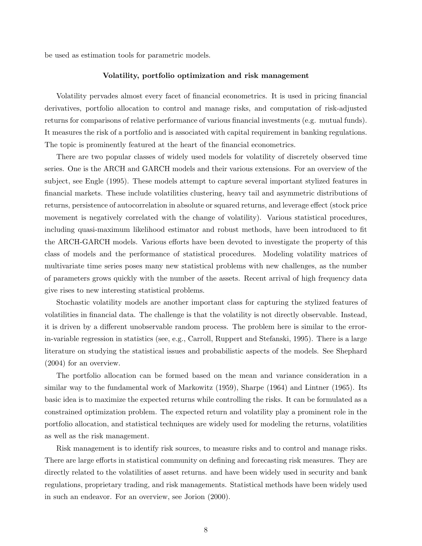be used as estimation tools for parametric models.

### Volatility, portfolio optimization and risk management

Volatility pervades almost every facet of financial econometrics. It is used in pricing financial derivatives, portfolio allocation to control and manage risks, and computation of risk-adjusted returns for comparisons of relative performance of various financial investments (e.g. mutual funds). It measures the risk of a portfolio and is associated with capital requirement in banking regulations. The topic is prominently featured at the heart of the financial econometrics.

There are two popular classes of widely used models for volatility of discretely observed time series. One is the ARCH and GARCH models and their various extensions. For an overview of the subject, see Engle (1995). These models attempt to capture several important stylized features in financial markets. These include volatilities clustering, heavy tail and asymmetric distributions of returns, persistence of autocorrelation in absolute or squared returns, and leverage effect (stock price movement is negatively correlated with the change of volatility). Various statistical procedures, including quasi-maximum likelihood estimator and robust methods, have been introduced to fit the ARCH-GARCH models. Various efforts have been devoted to investigate the property of this class of models and the performance of statistical procedures. Modeling volatility matrices of multivariate time series poses many new statistical problems with new challenges, as the number of parameters grows quickly with the number of the assets. Recent arrival of high frequency data give rises to new interesting statistical problems.

Stochastic volatility models are another important class for capturing the stylized features of volatilities in financial data. The challenge is that the volatility is not directly observable. Instead, it is driven by a different unobservable random process. The problem here is similar to the errorin-variable regression in statistics (see, e.g., Carroll, Ruppert and Stefanski, 1995). There is a large literature on studying the statistical issues and probabilistic aspects of the models. See Shephard (2004) for an overview.

The portfolio allocation can be formed based on the mean and variance consideration in a similar way to the fundamental work of Markowitz (1959), Sharpe (1964) and Lintner (1965). Its basic idea is to maximize the expected returns while controlling the risks. It can be formulated as a constrained optimization problem. The expected return and volatility play a prominent role in the portfolio allocation, and statistical techniques are widely used for modeling the returns, volatilities as well as the risk management.

Risk management is to identify risk sources, to measure risks and to control and manage risks. There are large efforts in statistical community on defining and forecasting risk measures. They are directly related to the volatilities of asset returns. and have been widely used in security and bank regulations, proprietary trading, and risk managements. Statistical methods have been widely used in such an endeavor. For an overview, see Jorion (2000).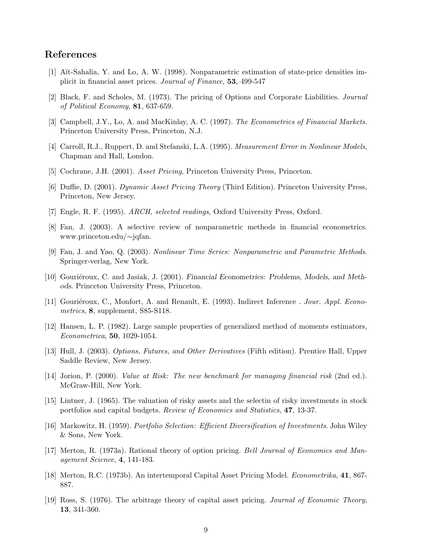# References

- [1] A¨ıt-Sahalia, Y. and Lo, A. W. (1998). Nonparametric estimation of state-price densities implicit in financial asset prices. Journal of Finance, 53, 499-547
- [2] Black, F. and Scholes, M. (1973). The pricing of Options and Corporate Liabilities. Journal of Political Economy, 81, 637-659.
- [3] Campbell, J.Y., Lo, A. and MacKinlay, A. C. (1997). The Econometrics of Financial Markets. Princeton University Press, Princeton, N.J.
- [4] Carroll, R.J., Ruppert, D. and Stefanski, L.A. (1995). Measurement Error in Nonlinear Models, Chapman and Hall, London.
- [5] Cochrane, J.H. (2001). Asset Pricing, Princeton University Press, Princeton.
- [6] Duffie, D. (2001). Dynamic Asset Pricing Theory (Third Edition). Princeton University Press, Princeton, New Jersey.
- [7] Engle, R. F. (1995). ARCH, selected readings, Oxford University Press, Oxford.
- [8] Fan, J. (2003). A selective review of nonparametric methods in financial econometrics. www.princeton.edu/∼jqfan.
- [9] Fan, J. and Yao, Q. (2003). Nonlinear Time Series: Nonparametric and Parametric Methods. Springer-verlag, New York.
- [10] Gouriéroux, C. and Jasiak, J. (2001). Financial Econometrics: Problems, Models, and Methods. Princeton University Press, Princeton.
- [11] Gouriéroux, C., Monfort, A. and Renault, E. (1993). Indirect Inference . Jour. Appl. Econometrics, 8, supplement, S85-S118.
- [12] Hansen, L. P. (1982). Large sample properties of generalized method of moments estimators, Econometrica, 50, 1029-1054.
- [13] Hull, J. (2003). Options, Futures, and Other Derivatives (Fifth edition). Prentice Hall, Upper Saddle Review, New Jersey.
- [14] Jorion, P. (2000). Value at Risk: The new benchmark for managing financial risk (2nd ed.). McGraw-Hill, New York.
- [15] Lintner, J. (1965). The valuation of risky assets and the selectin of risky investments in stock portfolios and capital budgets. Review of Economics and Statistics, 47, 13-37.
- [16] Markowitz, H. (1959). Portfolio Selection: Efficient Diversification of Investments. John Wiley & Sons, New York.
- [17] Merton, R. (1973a). Rational theory of option pricing. Bell Journal of Economics and Management Science, 4, 141-183.
- [18] Merton, R.C. (1973b). An intertemporal Capital Asset Pricing Model. Econometrika, 41, 867- 887.
- [19] Ross, S. (1976). The arbitrage theory of capital asset pricing. Journal of Economic Theory, 13, 341-360.